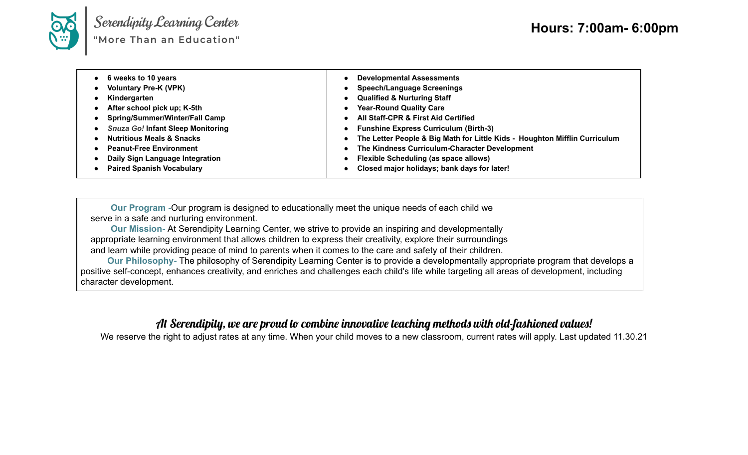

Serendipity Learning Center<br>"More Than an Education"

| 6 weeks to 10 years<br>• Voluntary Pre-K (VPK)<br>Kindergarten<br>• After school pick up; K-5th<br>• Spring/Summer/Winter/Fall Camp<br>• Snuza Go! Infant Sleep Monitoring<br><b>Nutritious Meals &amp; Snacks</b><br>• Peanut-Free Environment<br>• Daily Sign Language Integration<br>• Paired Spanish Vocabulary | <b>Developmental Assessments</b><br>$\bullet$<br><b>Speech/Language Screenings</b><br>$\bullet$<br><b>Qualified &amp; Nurturing Staff</b><br>$\bullet$<br><b>Year-Round Quality Care</b><br>$\bullet$<br><b>All Staff-CPR &amp; First Aid Certified</b><br>$\bullet$<br><b>Funshine Express Curriculum (Birth-3)</b><br>$\bullet$<br>• The Letter People & Big Math for Little Kids - Houghton Mifflin Curriculum<br>The Kindness Curriculum-Character Development<br>$\bullet$<br><b>Flexible Scheduling (as space allows)</b><br>$\bullet$<br>Closed major holidays; bank days for later!<br>$\bullet$ |
|---------------------------------------------------------------------------------------------------------------------------------------------------------------------------------------------------------------------------------------------------------------------------------------------------------------------|----------------------------------------------------------------------------------------------------------------------------------------------------------------------------------------------------------------------------------------------------------------------------------------------------------------------------------------------------------------------------------------------------------------------------------------------------------------------------------------------------------------------------------------------------------------------------------------------------------|
|---------------------------------------------------------------------------------------------------------------------------------------------------------------------------------------------------------------------------------------------------------------------------------------------------------------------|----------------------------------------------------------------------------------------------------------------------------------------------------------------------------------------------------------------------------------------------------------------------------------------------------------------------------------------------------------------------------------------------------------------------------------------------------------------------------------------------------------------------------------------------------------------------------------------------------------|

**Our Program -**Our program is designed to educationally meet the unique needs of each child we serve in a safe and nurturing environment.

**Our Mission-** At Serendipity Learning Center, we strive to provide an inspiring and developmentally appropriate learning environment that allows children to express their creativity, explore their surroundings and learn while providing peace of mind to parents when it comes to the care and safety of their children.

**Our Philosophy-** The philosophy of Serendipity Learning Center is to provide a developmentally appropriate program that develops a positive self-concept, enhances creativity, and enriches and challenges each child's life while targeting all areas of development, including character development.

## At Serendipity, we are proud to combine innovative teaching methods with old-fashioned values!

We reserve the right to adjust rates at any time. When your child moves to a new classroom, current rates will apply. Last updated 11.30.21